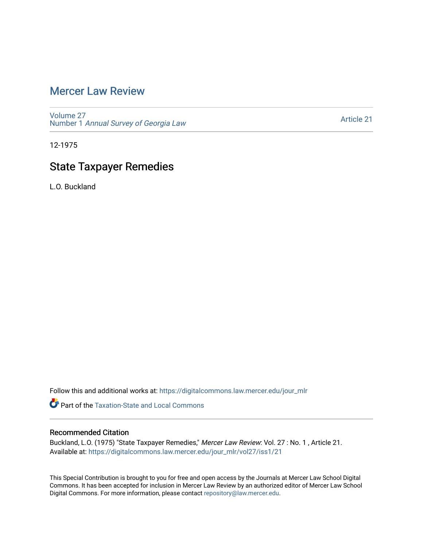# [Mercer Law Review](https://digitalcommons.law.mercer.edu/jour_mlr)

[Volume 27](https://digitalcommons.law.mercer.edu/jour_mlr/vol27) Number 1 [Annual Survey of Georgia Law](https://digitalcommons.law.mercer.edu/jour_mlr/vol27/iss1) 

[Article 21](https://digitalcommons.law.mercer.edu/jour_mlr/vol27/iss1/21) 

12-1975

# State Taxpayer Remedies

L.O. Buckland

Follow this and additional works at: [https://digitalcommons.law.mercer.edu/jour\\_mlr](https://digitalcommons.law.mercer.edu/jour_mlr?utm_source=digitalcommons.law.mercer.edu%2Fjour_mlr%2Fvol27%2Fiss1%2F21&utm_medium=PDF&utm_campaign=PDFCoverPages)

**C** Part of the Taxation-State and Local Commons

# Recommended Citation

Buckland, L.O. (1975) "State Taxpayer Remedies," Mercer Law Review: Vol. 27 : No. 1 , Article 21. Available at: [https://digitalcommons.law.mercer.edu/jour\\_mlr/vol27/iss1/21](https://digitalcommons.law.mercer.edu/jour_mlr/vol27/iss1/21?utm_source=digitalcommons.law.mercer.edu%2Fjour_mlr%2Fvol27%2Fiss1%2F21&utm_medium=PDF&utm_campaign=PDFCoverPages) 

This Special Contribution is brought to you for free and open access by the Journals at Mercer Law School Digital Commons. It has been accepted for inclusion in Mercer Law Review by an authorized editor of Mercer Law School Digital Commons. For more information, please contact [repository@law.mercer.edu](mailto:repository@law.mercer.edu).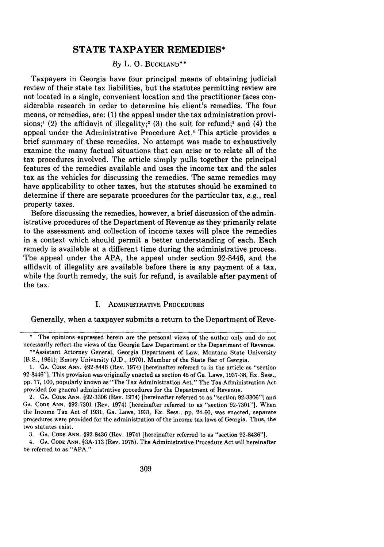# **STATE TAXPAYER REMEDIES\***

# *By* L. **0. BUCKLAND\*\***

Taxpayers in Georgia have four principal means of obtaining judicial review of their state tax liabilities, but the statutes permitting review are not located in a single, convenient location and the practitioner faces considerable research in order to determine his client's remedies. The four means, or remedies, are: **(1)** the appeal under the tax administration provisions;' (2) the affidavit of illegality;<sup>2</sup> (3) the suit for refund;<sup>3</sup> and (4) the appeal under the Administrative Procedure Act.4 This article provides a brief summary of these remedies. No attempt was made to exhaustively examine the many factual situations that can arise or to relate all of the tax procedures involved. The article simply pulls together the principal features of the remedies available and uses the income tax and the sales tax as the vehicles for discussing the remedies. The same remedies may have applicability to other taxes, but the statutes should be examined to determine if there are separate procedures for the particular tax, *e.g.,* real property taxes.

Before discussing the remedies, however, a brief discussion of the administrative procedures of the Department of Revenue as they primarily relate to the assessment and collection of income taxes will place the remedies in a context which should permit a better understanding of each. Each remedy is available at a different time during the administrative process. The appeal under the **APA,** the appeal under section 92-8446, and the affidavit of illegality are available before there is any payment of a tax, while the fourth remedy, the suit for refund, is available after payment of the tax.

# **I.** ADMINISTRATIVE PROCEDURES

Generally, when a taxpayer submits a return to the Department of Reve-

The opinions expressed herein are the personal views of the author only and do not necessarily reflect the views of the Georgia Law Department or the Department of Revenue. \*\*Assistant Attorney General, Georgia Department of Law. Montana State University

<sup>(</sup>B.S., **1961);** Emory University **(J.D., 1970).** Member of the State Bar of Georgia.

**<sup>1.</sup> GA. CODE ANN.** §92-8446 (Rev. 1974) [hereinafter referred to in the article as "section 92-8446"]. This provision was originally enacted as section 45 of Ga. Laws, **1937-38,** Ex. Sess., **pp. 77, 100,** popularly known as "The Tax Administration Act." The Tax Administration Act provided for general administrative procedures for the Department of Revenue.

<sup>2.</sup> **GA. CODE ANN. §92-3306** (Rev. 1974) [hereinafter referred to as "section **92-3306"]** and **GA. CODE ANN. §92-7301** (Rev. 1974) [hereinafter referred to as "section **92-7301"].** When the Income Tax Act of **1931,** Ga. Laws, **1931,** Ex. Sess., **pp.** 24-60, was enacted, separate procedures were provided for the administration of the income tax laws of Georgia. Thus, the two statutes exist.

**<sup>3.</sup> GA. CODE ANN.** §92-8436 (Rev. 1974) [hereinafter referred to as "section 92-8436"].

<sup>4.</sup> **GA. CODE ANN.** §3A-113 (Rev. 1975). The Administrative Procedure Act will hereinafter be referred to as **"APA."**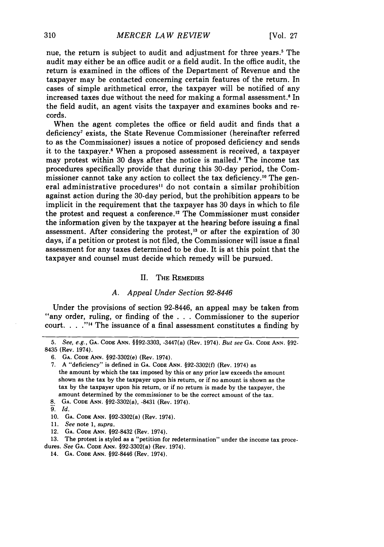nue, the return is subject to audit and adjustment for three years.' The audit may either be an office audit or a field audit. In the office audit, the return is examined in the offices of the Department of Revenue and the taxpayer may be contacted concerning certain features of the return. In cases of simple arithmetical error, the taxpayer will be notified of any increased taxes due without the need for making a formal assessment.<sup>6</sup> In the field audit, an agent visits the taxpayer and examines books and records.

When the agent completes the office or field audit and finds that a deficiency7 exists, the State Revenue Commissioner (hereinafter referred to as the Commissioner) issues a notice of proposed deficiency and sends it to the taxpayer.' When a proposed assessment is received, a taxpayer may protest within 30 days after the notice is mailed.<sup>9</sup> The income tax procedures specifically provide that during this 30-day period, the Commissioner cannot take any action to collect the tax deficiency.'0 The general administrative procedures<sup>11</sup> do not contain a similar prohibition against action during the 30-day period, but the prohibition appears to be implicit in the requirement that the taxpayer has 30 days in which to file the protest and request a conference.<sup>12</sup> The Commissioner must consider the information given by the taxpayer at the hearing before issuing a final assessment. After considering the protest,<sup>13</sup> or after the expiration of  $30$ days, if a petition or protest is not filed, the Commissioner will issue a final assessment for any taxes determined to be due. It is at this point that the taxpayer and counsel must decide which remedy will be pursued.

#### H. THE REMEDIES

# *A. Appeal Under Section 92-8446*

Under the provisions of section 92-8446, an appeal may be taken from "any order, ruling, or finding of the . . . Commissioner to the superior court. . **. .""** The issuance of a final assessment constitutes a finding by

8. **GA. CODE ANN.** §92-3302(a), -8431 (Rev. 1974).

- 11. See note 1, *supra.*
- 12. **GA. CODE ANN.** §92-8432 (Rev. 1974).

13. The protest is styled as a "petition for redetermination" under the income tax proce-

- dures. See **GA. CODE** ANN. §92-3302(a) (Rev. 1974).
	- 14. **GA. CODE** ANN. §92-8446 (Rev. 1974).

*<sup>5.</sup> See, e.g.,* **GA. CODE ANN.** §§92-3303, -3447(a) (Rev. 1974). *But see* **GA. CODE ANN.** §92- 8435 (Rev. 1974).

<sup>6.</sup> **GA. CODE ANN.** §92-3302(e) (Rev. 1974).

<sup>7.</sup> A "deficiency" is defined in **GA. CODE ANN.** §92-3302(f) (Rev. 1974) as the amount by which the tax imposed by this or any prior law exceeds the amount shown as the tax by the taxpayer upon his return, or if no amount is shown as the tax by the taxpayer upon his return, or if no return is made by the taxpayer, the amount determined by the commissioner to be the correct amount of the tax.

*<sup>9&#</sup>x27;. Id.*

<sup>10.</sup> **GA. CODE ANN.** §92-3302(a) (Rev. 1974).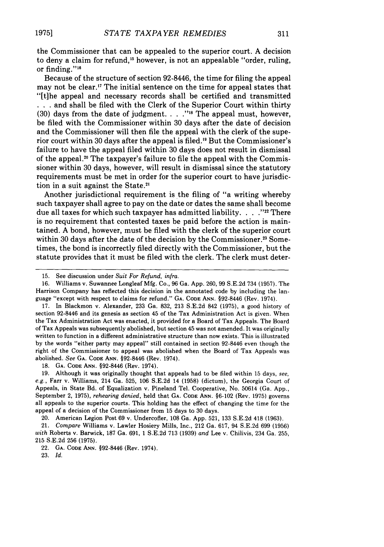the Commissioner that can be appealed to the superior court. A decision to deny a claim for refund,<sup>15</sup> however, is not an appealable "order, ruling, or finding."<sup>16</sup>

Because of the structure of section 92-8446, the time for filing the appeal may not be clear.<sup>17</sup> The initial sentence on the time for appeal states that "[tihe appeal and necessary records shall be certified and transmitted **. . .**and shall be filed with the Clerk of the Superior Court within thirty (30) days from the date of judgment. . **. ."'** The appeal must, however, be filed with the Commissioner within 30 days after the date of decision and the Commissioner will then file the appeal with the clerk of the superior court within 30 days after the appeal is filed."9 But the Commissioner's failure to have the appeal filed within 30 days does not result in dismissal of the appeal.<sup>20</sup> The taxpayer's failure to file the appeal with the Commissioner within 30 days, however, will result in dismissal since the statutory requirements must be met in order for the superior court to have jurisdiction in a suit against the State.<sup>21</sup>

Another jurisdictional requirement is the filing of "a writing whereby such taxpayer shall agree to pay on the date or dates the same shall become due all taxes for which such taxpayer has admitted liability **....** ,,22 There is no requirement that contested taxes be paid before the action is maintained. A bond, however, must be filed with the clerk of the superior court within 30 days after the date of the decision by the Commissioner.<sup>23</sup> Sometimes, the bond is incorrectly filed directly with the Commissioner, but the statute provides that it must be filed with the clerk. The clerk must deter-

18. GA. CODE **ANN.** §92-8446 (Rev. 1974).

19. Although it was originally thought that appeals had to be filed within 15 days, *see, e.g.,* Farr v. Williams, 214 Ga. 525, 106 S.E.2d 14 (1958) (dictum), the Georgia Court of Appeals, in State Bd. of Equalization v. Pineland Tel. Cooperative, No. 50614 (Ga. App., September 2, 1975), *rehearing denied,* held that GA. CODE **ANN.** §6-102 (Rev. 1975) governs all appeals to the superior courts. This holding has the effect of changing the time for the appeal of a decision of the Commissioner from 15 days to 30 days.

20. American Legion Post 69 v. Undercofler, 108 Ga. App. 521, 133 S.E.2d 418 (1963),

21. *Compare* Williams v. Lawler Hosiery Mills, Inc., 212 Ga. 617, 94 S.E.2d 699 (1956) *with* Roberts v. Barwick, 187 Ga. 691, 1 S.E.2d 713 (1939) *and* Lee v. Chilivis, 234 Ga. 255, 215 S.E.2d 256 (1975).

<sup>15.</sup> See discussion under *Suit For Refund, infra.*

<sup>16.</sup> Williams v. Suwannee Longleaf Mfg. Co., 96 Ga. App. 260, 99 S.E.2d 734 (1957). The Harrison Company has reflected this decision in the annotated code by including the language "except with respect to claims for refund." GA. CODE ANN. §92-8446 (Rev. 1974).

<sup>17.</sup> In Blackmon v. Alexander, 233 Ga. 832, 213 S.E.2d 842 (1975), a good history of section 92-8446 and its genesis as section 45 of the Tax Administration Act is given. When the Tax Administration Act was enacted, it provided for a Board of Tax Appeals. The Board of Tax Appeals was subsequently abolished, but section 45 was not amended. It was originally written to function in a different administrative structure than now exists. This is illustrated by the words "either party may appeal" still contained in section 92-8446 even though the right of the Commissioner to appeal was abolished when the Board of Tax Appeals was abolished. *See* **GA. CODE ANN.** §92-8446 (Rev. 1974).

<sup>22.</sup> **GA. CODE ANN.** §92-8446 (Rev. 1974).

<sup>23.</sup> *Id.*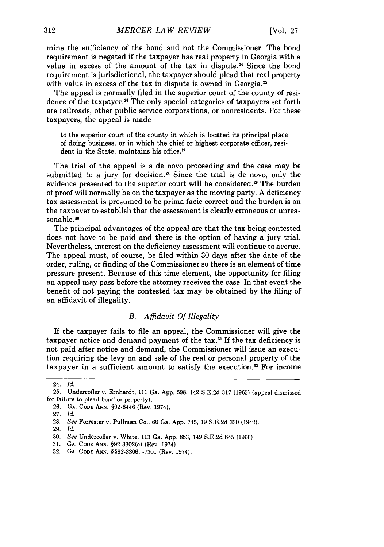mine the sufficiency of the bond and not the Commissioner. The bond requirement is negated if the taxpayer has real property in Georgia with a value in excess of the amount of the tax in dispute.<sup>24</sup> Since the bond requirement is jurisdictional, the taxpayer should plead that real property with value in excess of the tax in dispute is owned in Georgia.<sup>25</sup>

The appeal is normally filed in the superior court of the county of residence of the taxpayer.26 The only special categories of taxpayers set forth are railroads, other public service corporations, or nonresidents. For these taxpayers, the appeal is made

to the superior court of the county in which is located its principal place of doing business, or in which the chief or highest corporate officer, resident in the State, maintains his office.<sup>27</sup>

The trial of the appeal is a de novo proceeding and the case may be submitted to a jury for decision.<sup>28</sup> Since the trial is de novo, only the evidence presented to the superior court will be considered.<sup>29</sup> The burden of proof will normally be on the taxpayer as the moving party. A deficiency tax assessment is presumed to be prima facie correct and the burden is on the taxpayer to establish that the assessment is clearly erroneous or unreasonable.<sup>30</sup>

The principal advantages of the appeal are that the tax being contested does not have to be paid and there is the option of having a jury trial. Nevertheless, interest on the deficiency assessment will continue to accrue. The appeal must, of course, be filed within 30 days after the date of the order, ruling, or finding of the Commissioner so there is an element of time pressure present. Because of this time element, the opportunity for filing an appeal may pass before the attorney receives the case. In that event the benefit of not paying the contested tax may be obtained by the filing of an affidavit of illegality.

### *B. Affidavit Of Illegality*

If the taxpayer fails to file an appeal, the Commissioner will give the taxpayer notice and demand payment of the tax.<sup>31</sup> If the tax deficiency is not paid after notice and demand, the Commissioner will issue an execution requiring the levy on and sale of the real or personal property of the taxpayer in a sufficient amount to satisfy the execution.32 For income

<sup>24.</sup> *Id.*

<sup>25.</sup> Undercofler v. Ernhardt, 111 Ga. App. 598, 142 S.E.2d 317 (1965) (appeal dismissed for failure to plead bond or property).

**<sup>26.</sup> GA. CODE ANN.** §92-8446 (Rev. 1974).

<sup>27.</sup> *Id.*

<sup>28.</sup> *See* Forrester v. Pullman Co., 66 Ga. App. 745, **19** S.E.2d 330 (1942).

<sup>29.</sup> *Id.*

<sup>30.</sup> *See* Undercofler v. White, 113 Ga. App. 853, 149 S.E.2d 845 (1966).

<sup>31.</sup> GA. CODE ANN. §92-3302(c) (Rev. 1974).

<sup>32.</sup> GA. CODE ANN. §§92-3306, -7301 (Rev. 1974).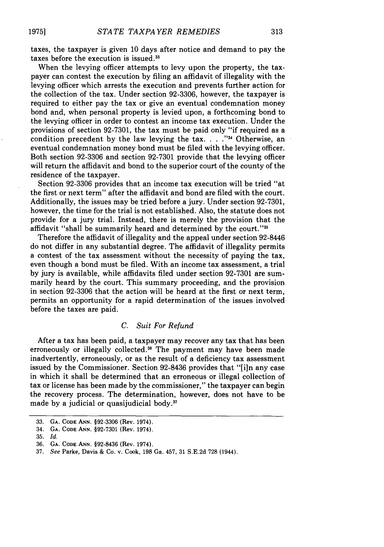taxes, the taxpayer is given 10 days after notice and demand to pay the taxes before the execution is issued.<sup>33</sup>

When the levying officer attempts to levy upon the property, the taxpayer can contest the execution by filing an affidavit of illegality with the levying officer which arrests the execution and prevents further action for the collection of the tax. Under section 92-3306, however, the taxpayer is required to either pay the tax or give an eventual condemnation money bond and, when personal property is levied upon, a forthcoming bond to the levying officer in order to contest an income tax execution. Under the provisions of section 92-7301, the tax must be paid only "if required as a condition precedent by the law levying the tax. . . . "<sup>34</sup> Otherwise, an eventual condemnation money bond must be filed with the levying officer. Both section 92-3306 and section 92-7301 provide that the levying officer will return the affidavit and bond to the superior court of the county of the residence of the taxpayer.

Section 92-3306 provides that an income tax execution will be tried "at the first or next term" after the affidavit and bond are filed with the court. Additionally, the issues may be tried before a jury. Under section 92-7301, however, the time for the trial is not established. Also, the statute does not provide for a jury trial. Instead, there is merely the provision that the affidavit "shall be summarily heard and determined by the court."

Therefore the affidavit of illegality and the appeal under section 92-8446 do not differ in any substantial degree. The affidavit of illegality permits a contest of the tax assessment without the necessity of paying the tax, even though a bond must be filed. With an income tax assessment, a trial by jury is available, while affidavits filed under section 92-7301 are summarily heard by the court. This summary proceeding, and the provision in section 92-3306 that the action will be heard at the first or next term, permits an opportunity for a rapid determination of the issues involved before the taxes are paid.

# *C. Suit For Refund*

After a tax has been paid, a taxpayer may recover any tax that has been erroneously or illegally collected.<sup>36</sup> The payment may have been made inadvertently, erroneously, or as the result of a deficiency tax assessment issued by the Commissioner. Section 92-8436 provides that "[iln any case in which it shall be determined that an erroneous or illegal collection of tax or license has been made by the commissioner," the taxpayer can begin the recovery process. The determination, however, does not have to be made by a judicial or quasijudicial body. $37$ 

**19751**

<sup>33.</sup> **GA. CODE ANN. §92-3306** (Rev. 1974).

<sup>34.</sup> **GA. CODE ANN. §92-7301** (Rev. 1974).

**<sup>35.</sup>** *Id.*

**<sup>36.</sup> GA. CODE ANN. §92-8436** (Rev. 1974).

<sup>37.</sup> *See* Parke, Davis & Co. v. Cook, **198** Ga. 457, 31 S.E.2d 728 (1944).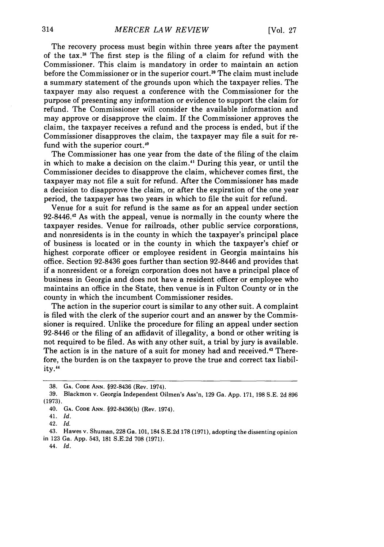The recovery process must begin within three years after the payment of the tax. 8 The first step is the filing of a claim for refund with the Commissioner. This claim is mandatory in order to maintain an action before the Commissioner or in the superior court.<sup>39</sup> The claim must include a summary statement of the grounds upon which the taxpayer relies. The taxpayer may also request a conference with the Commissioner for the purpose of presenting any information or evidence to support the claim for refund. The Commissioner will consider the available information and may approve or disapprove the claim. If the Commissioner approves the claim, the taxpayer receives a refund and the process is ended, but if the Commissioner disapproves the claim, the taxpayer may file a suit for refund with the superior court.<sup>46</sup>

The Commissioner has one year from the date of the filing of the claim in which to make a decision on the claim.41 During this year, or until the Commissioner decides to disapprove the claim, whichever comes first, the taxpayer may not file a suit for refund. After the Commissioner has made a decision to disapprove the claim, or after the expiration of the one year period, the taxpayer has two years in which to file the suit for refund.

Venue for a suit for refund is the same as for an appeal under section 92-8446.<sup>42</sup> As with the appeal, venue is normally in the county where the taxpayer resides. Venue for railroads, other public service corporations, and nonresidents is in the county in which the taxpayer's principal place of business is located or in the county in which the taxpayer's chief or highest corporate officer or employee resident in Georgia maintains his office. Section 92-8436 goes further than section 92-8446 and provides that if a nonresident or a foreign corporation does not have a principal place of business in Georgia and does not have a resident officer or employee who maintains an office in the State, then venue is in Fulton County or in the county in which the incumbent Commissioner resides.

The action in the superior court is similar to any other suit. A complaint is filed with the clerk of the superior court and an answer by the Commissioner is required. Unlike the procedure for filing an appeal under section 92-8446 or the filing of an affidavit of illegality, a bond or other writing is not required to be filed. As with any other suit, a trial by jury is available. The action is in the nature of a suit for money had and received.<sup>43</sup> Therefore, the burden is on the taxpayer to prove the true and correct tax liability.<sup>44</sup>

<sup>38.</sup> **GA. CODE ANN.** §92-8436 (Rev. 1974).

<sup>39.</sup> Blackmon v. Georgia Independent Oilmen's Ass'n, 129 Ga. App. 171, 198 S.E. 2d 896 (1973).

<sup>40.</sup> **GA. CODE ANN.** §92-8436(b) (Rev. 1974).

<sup>41.</sup> *Id.*

<sup>42.</sup> *Id.*

<sup>43.</sup> Hawes v. Shuman, **228** Ga. 101, 184 S.E.2d 178 (1971), adopting the dissenting opinion in 123 Ga. App. 543, 181 S.E.2d 708 (1971).

<sup>44.</sup> *Id.*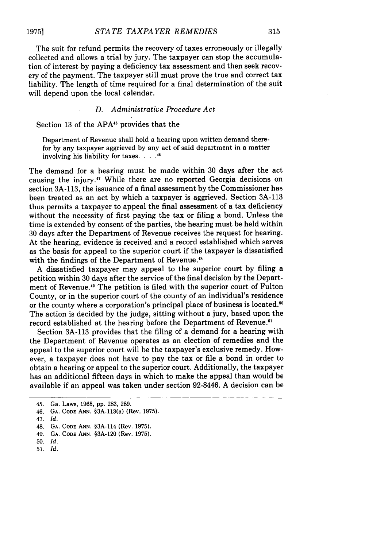The suit for refund permits the recovery of taxes erroneously or illegally collected and allows a trial by jury. The taxpayer can stop the accumulation of interest by paying a deficiency tax assessment and then seek recovery of the payment. The taxpayer still must prove the true and correct tax liability. The length of time required for a final determination of the suit will depend upon the local calendar.

### *D. Administrative Procedure Act*

Section 13 of the APA<sup>45</sup> provides that the

Department of Revenue shall hold a hearing upon written demand therefor by any taxpayer aggrieved by any act of said department in a matter involving his liability for taxes. **.... .1**

The demand for a hearing must be made within 30 days after the act causing the injury.<sup>47</sup> While there are no reported Georgia decisions on section 3A-113, the issuance of a final assessment by the Commissioner has been treated as an act by which a taxpayer is aggrieved. Section 3A-113 thus permits a taxpayer to appeal the final assessment of a tax deficiency without the necessity of first paying the tax or filing a bond. Unless the time is extended by consent of the parties, the hearing must be held within 30 days after the Department of Revenue receives the request for hearing. At the hearing, evidence is received and a record established which serves as the basis for appeal to the superior court if the taxpayer is dissatisfied with the findings of the Department of Revenue.<sup>48</sup>

A dissatisfied taxpayer may appeal to the superior court by filing a petition within 30 days after the service of the final decision by the Department of Revenue. 49 The petition is filed with the superior court of Fulton County, or in the superior court of the county of an individual's residence or the county where a corporation's principal place of business is located.<sup>50</sup> The action is decided by the judge, sitting without a jury, based upon the record established at the hearing before the Department of Revenue.<sup>51</sup>

Section 3A-113 provides that the filing of a demand for a hearing with the Department of Revenue operates as an election of remedies and the appeal to the superior court will be the taxpayer's exclusive remedy. However, a taxpayer does not have to pay the tax or file a bond in order to obtain a hearing or appeal to the superior court. Additionally, the taxpayer has an additional fifteen days in which to make the appeal than would be available if an appeal was taken under section 92-8446. A decision can be

<sup>45.</sup> Ga. Laws, 1965, pp. 283, 289.

<sup>46.</sup> **GA. CODE ANN.** §3A-113(a) (Rev. **1975).**

<sup>47.</sup> Id.

<sup>48.</sup> **GA. CODE ANN.** §3A-114 (Rev. **1975).**

<sup>49.</sup> **GA. CODE ANN.** §3A-120 (Rev. **1975).**

<sup>50.</sup> Id.

<sup>51.</sup> Id.